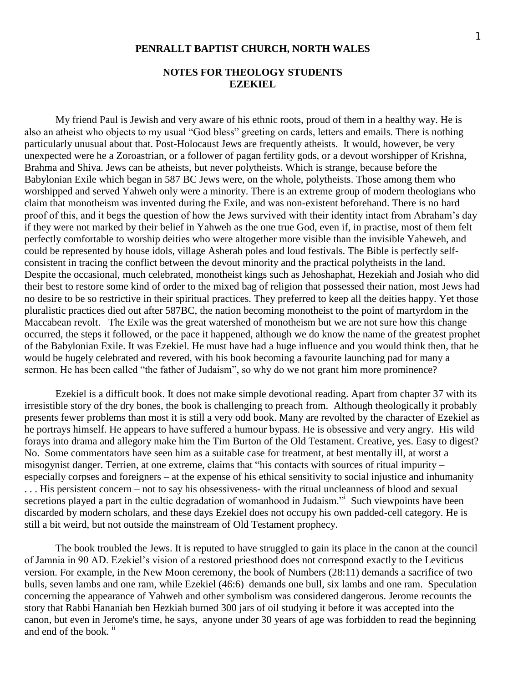## **NOTES FOR THEOLOGY STUDENTS EZEKIEL**

My friend Paul is Jewish and very aware of his ethnic roots, proud of them in a healthy way. He is also an atheist who objects to my usual "God bless" greeting on cards, letters and emails. There is nothing particularly unusual about that. Post-Holocaust Jews are frequently atheists. It would, however, be very unexpected were he a Zoroastrian, or a follower of pagan fertility gods, or a devout worshipper of Krishna, Brahma and Shiva. Jews can be atheists, but never polytheists. Which is strange, because before the Babylonian Exile which began in 587 BC Jews were, on the whole, polytheists. Those among them who worshipped and served Yahweh only were a minority. There is an extreme group of modern theologians who claim that monotheism was invented during the Exile, and was non-existent beforehand. There is no hard proof of this, and it begs the question of how the Jews survived with their identity intact from Abraham"s day if they were not marked by their belief in Yahweh as the one true God, even if, in practise, most of them felt perfectly comfortable to worship deities who were altogether more visible than the invisible Yaheweh, and could be represented by house idols, village Asherah poles and loud festivals. The Bible is perfectly selfconsistent in tracing the conflict between the devout minority and the practical polytheists in the land. Despite the occasional, much celebrated, monotheist kings such as Jehoshaphat, Hezekiah and Josiah who did their best to restore some kind of order to the mixed bag of religion that possessed their nation, most Jews had no desire to be so restrictive in their spiritual practices. They preferred to keep all the deities happy. Yet those pluralistic practices died out after 587BC, the nation becoming monotheist to the point of martyrdom in the Maccabean revolt. The Exile was the great watershed of monotheism but we are not sure how this change occurred, the steps it followed, or the pace it happened, although we do know the name of the greatest prophet of the Babylonian Exile. It was Ezekiel. He must have had a huge influence and you would think then, that he would be hugely celebrated and revered, with his book becoming a favourite launching pad for many a sermon. He has been called "the father of Judaism", so why do we not grant him more prominence?

Ezekiel is a difficult book. It does not make simple devotional reading. Apart from chapter 37 with its irresistible story of the dry bones, the book is challenging to preach from. Although theologically it probably presents fewer problems than most it is still a very odd book. Many are revolted by the character of Ezekiel as he portrays himself. He appears to have suffered a humour bypass. He is obsessive and very angry. His wild forays into drama and allegory make him the Tim Burton of the Old Testament. Creative, yes. Easy to digest? No. Some commentators have seen him as a suitable case for treatment, at best mentally ill, at worst a misogynist danger. Terrien, at one extreme, claims that "his contacts with sources of ritual impurity – especially corpses and foreigners – at the expense of his ethical sensitivity to social injustice and inhumanity . . . His persistent concern – not to say his obsessiveness- with the ritual uncleanness of blood and sexual secretions played a part in the cultic degradation of womanhood in Judaism." Such viewpoints have been discarded by modern scholars, and these days Ezekiel does not occupy his own padded-cell category. He is still a bit weird, but not outside the mainstream of Old Testament prophecy.

The book troubled the Jews. It is reputed to have struggled to gain its place in the canon at the council of Jamnia in 90 AD. Ezekiel"s vision of a restored priesthood does not correspond exactly to the Leviticus version. For example, in the New Moon ceremony, the book of Numbers (28:11) demands a sacrifice of two bulls, seven lambs and one ram, while Ezekiel (46:6) demands one bull, six lambs and one ram. Speculation concerning the appearance of Yahweh and other symbolism was considered dangerous. Jerome recounts the story that Rabbi Hananiah ben Hezkiah burned 300 jars of oil studying it before it was accepted into the canon, but even in Jerome's time, he says, anyone under 30 years of age was forbidden to read the beginning and end of the book.<sup>ii</sup>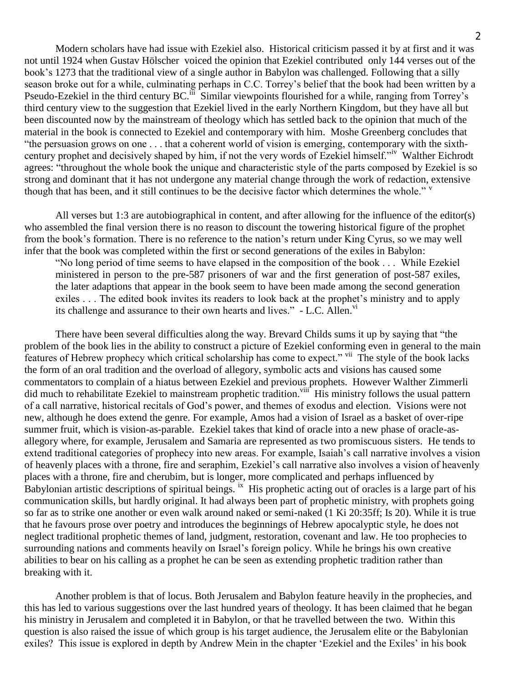Modern scholars have had issue with Ezekiel also. Historical criticism passed it by at first and it was not until 1924 when Gustav Hölscher voiced the opinion that Ezekiel contributed only 144 verses out of the book"s 1273 that the traditional view of a single author in Babylon was challenged. Following that a silly season broke out for a while, culminating perhaps in C.C. Torrey's belief that the book had been written by a Pseudo-Ezekiel in the third century BC.<sup>iii</sup> Similar viewpoints flourished for a while, ranging from Torrey's third century view to the suggestion that Ezekiel lived in the early Northern Kingdom, but they have all but been discounted now by the mainstream of theology which has settled back to the opinion that much of the material in the book is connected to Ezekiel and contemporary with him. Moshe Greenberg concludes that "the persuasion grows on one . . . that a coherent world of vision is emerging, contemporary with the sixthcentury prophet and decisively shaped by him, if not the very words of Ezekiel himself." Walther Eichrodt agrees: "throughout the whole book the unique and characteristic style of the parts composed by Ezekiel is so strong and dominant that it has not undergone any material change through the work of redaction, extensive though that has been, and it still continues to be the decisive factor which determines the whole." v

All verses but 1:3 are autobiographical in content, and after allowing for the influence of the editor(s) who assembled the final version there is no reason to discount the towering historical figure of the prophet from the book"s formation. There is no reference to the nation"s return under King Cyrus, so we may well infer that the book was completed within the first or second generations of the exiles in Babylon:

"No long period of time seems to have elapsed in the composition of the book . . . While Ezekiel ministered in person to the pre-587 prisoners of war and the first generation of post-587 exiles, the later adaptions that appear in the book seem to have been made among the second generation exiles . . . The edited book invites its readers to look back at the prophet's ministry and to apply its challenge and assurance to their own hearts and lives."  $\sim$  L.C. Allen.<sup>vi</sup>

There have been several difficulties along the way. Brevard Childs sums it up by saying that "the problem of the book lies in the ability to construct a picture of Ezekiel conforming even in general to the main features of Hebrew prophecy which critical scholarship has come to expect." vii The style of the book lacks the form of an oral tradition and the overload of allegory, symbolic acts and visions has caused some commentators to complain of a hiatus between Ezekiel and previous prophets. However Walther Zimmerli did much to rehabilitate Ezekiel to mainstream prophetic tradition.<sup>viii</sup> His ministry follows the usual pattern of a call narrative, historical recitals of God"s power, and themes of exodus and election. Visions were not new, although he does extend the genre. For example, Amos had a vision of Israel as a basket of over-ripe summer fruit, which is vision-as-parable. Ezekiel takes that kind of oracle into a new phase of oracle-asallegory where, for example, Jerusalem and Samaria are represented as two promiscuous sisters. He tends to extend traditional categories of prophecy into new areas. For example, Isaiah"s call narrative involves a vision of heavenly places with a throne, fire and seraphim, Ezekiel"s call narrative also involves a vision of heavenly places with a throne, fire and cherubim, but is longer, more complicated and perhaps influenced by Babylonian artistic descriptions of spiritual beings. <sup>ix</sup> His prophetic acting out of oracles is a large part of his communication skills, but hardly original. It had always been part of prophetic ministry, with prophets going so far as to strike one another or even walk around naked or semi-naked (1 Ki 20:35ff; Is 20). While it is true that he favours prose over poetry and introduces the beginnings of Hebrew apocalyptic style, he does not neglect traditional prophetic themes of land, judgment, restoration, covenant and law. He too prophecies to surrounding nations and comments heavily on Israel's foreign policy. While he brings his own creative abilities to bear on his calling as a prophet he can be seen as extending prophetic tradition rather than breaking with it.

Another problem is that of locus. Both Jerusalem and Babylon feature heavily in the prophecies, and this has led to various suggestions over the last hundred years of theology. It has been claimed that he began his ministry in Jerusalem and completed it in Babylon, or that he travelled between the two. Within this question is also raised the issue of which group is his target audience, the Jerusalem elite or the Babylonian exiles? This issue is explored in depth by Andrew Mein in the chapter "Ezekiel and the Exiles" in his book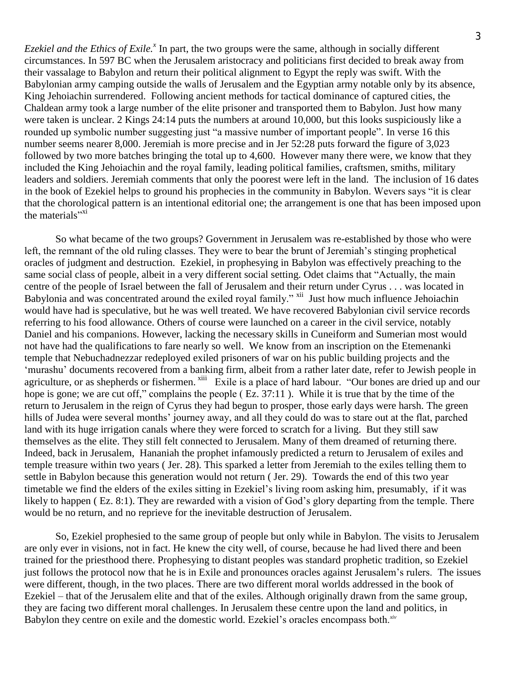*Ezekiel and the Ethics of Exile.<sup>x</sup>* In part, the two groups were the same, although in socially different circumstances. In 597 BC when the Jerusalem aristocracy and politicians first decided to break away from their vassalage to Babylon and return their political alignment to Egypt the reply was swift. With the Babylonian army camping outside the walls of Jerusalem and the Egyptian army notable only by its absence, King Jehoiachin surrendered. Following ancient methods for tactical dominance of captured cities, the Chaldean army took a large number of the elite prisoner and transported them to Babylon. Just how many were taken is unclear. 2 Kings 24:14 puts the numbers at around 10,000, but this looks suspiciously like a rounded up symbolic number suggesting just "a massive number of important people". In verse 16 this number seems nearer 8,000. Jeremiah is more precise and in Jer 52:28 puts forward the figure of 3,023 followed by two more batches bringing the total up to 4,600. However many there were, we know that they included the King Jehoiachin and the royal family, leading political families, craftsmen, smiths, military leaders and soldiers. Jeremiah comments that only the poorest were left in the land. The inclusion of 16 dates in the book of Ezekiel helps to ground his prophecies in the community in Babylon. Wevers says "it is clear that the chorological pattern is an intentional editorial one; the arrangement is one that has been imposed upon the materials"<sup>xi</sup>

So what became of the two groups? Government in Jerusalem was re-established by those who were left, the remnant of the old ruling classes. They were to bear the brunt of Jeremiah's stinging prophetical oracles of judgment and destruction. Ezekiel, in prophesying in Babylon was effectively preaching to the same social class of people, albeit in a very different social setting. Odet claims that "Actually, the main centre of the people of Israel between the fall of Jerusalem and their return under Cyrus . . . was located in Babylonia and was concentrated around the exiled royal family." <sup>xii</sup> Just how much influence Jehoiachin would have had is speculative, but he was well treated. We have recovered Babylonian civil service records referring to his food allowance. Others of course were launched on a career in the civil service, notably Daniel and his companions. However, lacking the necessary skills in Cuneiform and Sumerian most would not have had the qualifications to fare nearly so well. We know from an inscription on the Etemenanki temple that Nebuchadnezzar redeployed exiled prisoners of war on his public building projects and the 'murashu' documents recovered from a banking firm, albeit from a rather later date, refer to Jewish people in agriculture, or as shepherds or fishermen. <sup>xiii</sup> Exile is a place of hard labour. "Our bones are dried up and our hope is gone; we are cut off," complains the people (Ez. 37:11). While it is true that by the time of the return to Jerusalem in the reign of Cyrus they had begun to prosper, those early days were harsh. The green hills of Judea were several months' journey away, and all they could do was to stare out at the flat, parched land with its huge irrigation canals where they were forced to scratch for a living. But they still saw themselves as the elite. They still felt connected to Jerusalem. Many of them dreamed of returning there. Indeed, back in Jerusalem, Hananiah the prophet infamously predicted a return to Jerusalem of exiles and temple treasure within two years ( Jer. 28). This sparked a letter from Jeremiah to the exiles telling them to settle in Babylon because this generation would not return ( Jer. 29). Towards the end of this two year timetable we find the elders of the exiles sitting in Ezekiel"s living room asking him, presumably, if it was likely to happen (Ez. 8:1). They are rewarded with a vision of God's glory departing from the temple. There would be no return, and no reprieve for the inevitable destruction of Jerusalem.

So, Ezekiel prophesied to the same group of people but only while in Babylon. The visits to Jerusalem are only ever in visions, not in fact. He knew the city well, of course, because he had lived there and been trained for the priesthood there. Prophesying to distant peoples was standard prophetic tradition, so Ezekiel just follows the protocol now that he is in Exile and pronounces oracles against Jerusalem"s rulers. The issues were different, though, in the two places. There are two different moral worlds addressed in the book of Ezekiel – that of the Jerusalem elite and that of the exiles. Although originally drawn from the same group, they are facing two different moral challenges. In Jerusalem these centre upon the land and politics, in Babylon they centre on exile and the domestic world. Ezekiel's oracles encompass both.<sup>xiv</sup>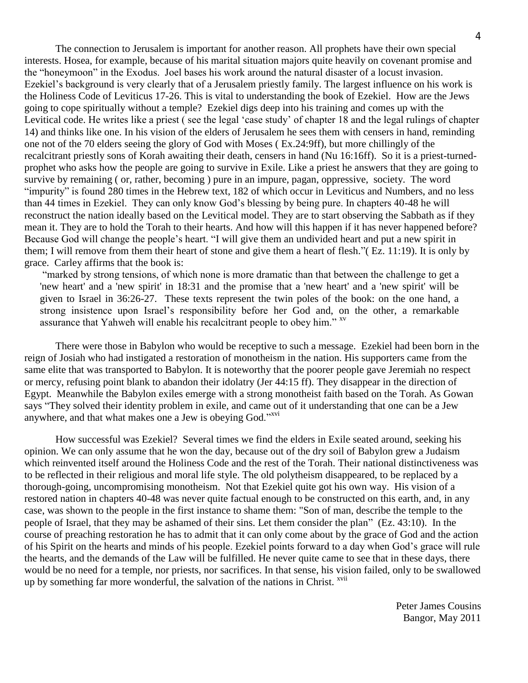The connection to Jerusalem is important for another reason. All prophets have their own special interests. Hosea, for example, because of his marital situation majors quite heavily on covenant promise and the "honeymoon" in the Exodus. Joel bases his work around the natural disaster of a locust invasion. Ezekiel's background is very clearly that of a Jerusalem priestly family. The largest influence on his work is the Holiness Code of Leviticus 17-26. This is vital to understanding the book of Ezekiel. How are the Jews going to cope spiritually without a temple? Ezekiel digs deep into his training and comes up with the Levitical code. He writes like a priest ( see the legal "case study" of chapter 18 and the legal rulings of chapter 14) and thinks like one. In his vision of the elders of Jerusalem he sees them with censers in hand, reminding one not of the 70 elders seeing the glory of God with Moses ( Ex.24:9ff), but more chillingly of the recalcitrant priestly sons of Korah awaiting their death, censers in hand (Nu 16:16ff). So it is a priest-turnedprophet who asks how the people are going to survive in Exile. Like a priest he answers that they are going to survive by remaining ( or, rather, becoming ) pure in an impure, pagan, oppressive, society. The word "impurity" is found 280 times in the Hebrew text, 182 of which occur in Leviticus and Numbers, and no less than 44 times in Ezekiel. They can only know God"s blessing by being pure. In chapters 40-48 he will reconstruct the nation ideally based on the Levitical model. They are to start observing the Sabbath as if they mean it. They are to hold the Torah to their hearts. And how will this happen if it has never happened before? Because God will change the people's heart. "I will give them an undivided heart and put a new spirit in them; I will remove from them their heart of stone and give them a heart of flesh."( Ez. 11:19). It is only by grace. Carley affirms that the book is:

"marked by strong tensions, of which none is more dramatic than that between the challenge to get a 'new heart' and a 'new spirit' in 18:31 and the promise that a 'new heart' and a 'new spirit' will be given to Israel in 36:26-27. These texts represent the twin poles of the book: on the one hand, a strong insistence upon Israel"s responsibility before her God and, on the other, a remarkable assurance that Yahweh will enable his recalcitrant people to obey him." <sup>xv</sup>

There were those in Babylon who would be receptive to such a message. Ezekiel had been born in the reign of Josiah who had instigated a restoration of monotheism in the nation. His supporters came from the same elite that was transported to Babylon. It is noteworthy that the poorer people gave Jeremiah no respect or mercy, refusing point blank to abandon their idolatry (Jer 44:15 ff). They disappear in the direction of Egypt. Meanwhile the Babylon exiles emerge with a strong monotheist faith based on the Torah. As Gowan says "They solved their identity problem in exile, and came out of it understanding that one can be a Jew anywhere, and that what makes one a Jew is obeying God."<sup>xvi</sup>

How successful was Ezekiel? Several times we find the elders in Exile seated around, seeking his opinion. We can only assume that he won the day, because out of the dry soil of Babylon grew a Judaism which reinvented itself around the Holiness Code and the rest of the Torah. Their national distinctiveness was to be reflected in their religious and moral life style. The old polytheism disappeared, to be replaced by a thorough-going, uncompromising monotheism. Not that Ezekiel quite got his own way. His vision of a restored nation in chapters 40-48 was never quite factual enough to be constructed on this earth, and, in any case, was shown to the people in the first instance to shame them: "Son of man, describe the temple to the people of Israel, that they may be ashamed of their sins. Let them consider the plan" (Ez. 43:10). In the course of preaching restoration he has to admit that it can only come about by the grace of God and the action of his Spirit on the hearts and minds of his people. Ezekiel points forward to a day when God"s grace will rule the hearts, and the demands of the Law will be fulfilled. He never quite came to see that in these days, there would be no need for a temple, nor priests, nor sacrifices. In that sense, his vision failed, only to be swallowed up by something far more wonderful, the salvation of the nations in Christ.  $^{xvii}$ 

Peter James Cousins Bangor, May 2011